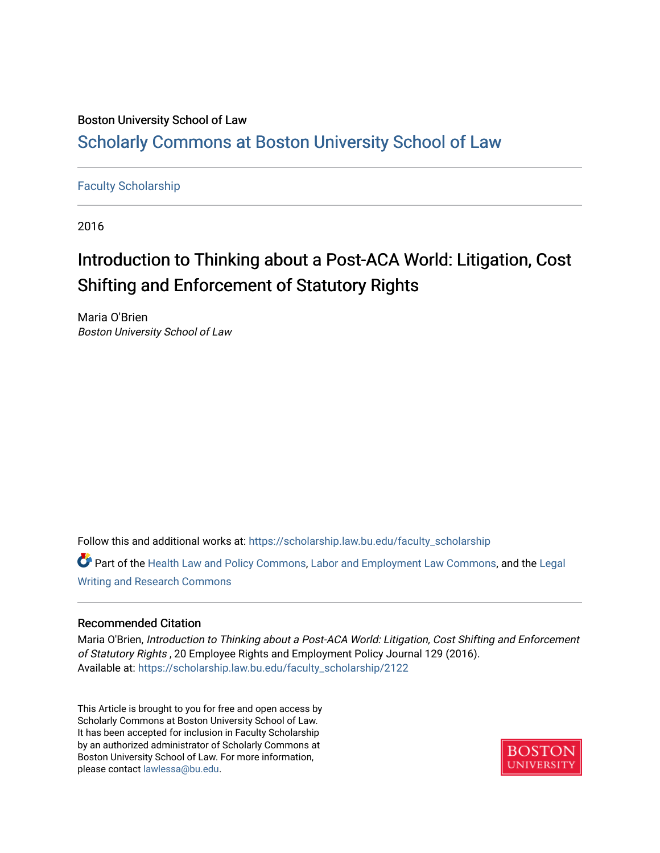## Boston University School of Law [Scholarly Commons at Boston University School of Law](https://scholarship.law.bu.edu/)

### [Faculty Scholarship](https://scholarship.law.bu.edu/faculty_scholarship)

2016

# Introduction to Thinking about a Post-ACA World: Litigation, Cost Shifting and Enforcement of Statutory Rights

Maria O'Brien Boston University School of Law

Follow this and additional works at: [https://scholarship.law.bu.edu/faculty\\_scholarship](https://scholarship.law.bu.edu/faculty_scholarship?utm_source=scholarship.law.bu.edu%2Ffaculty_scholarship%2F2122&utm_medium=PDF&utm_campaign=PDFCoverPages)

Part of the [Health Law and Policy Commons](https://network.bepress.com/hgg/discipline/901?utm_source=scholarship.law.bu.edu%2Ffaculty_scholarship%2F2122&utm_medium=PDF&utm_campaign=PDFCoverPages), [Labor and Employment Law Commons,](https://network.bepress.com/hgg/discipline/909?utm_source=scholarship.law.bu.edu%2Ffaculty_scholarship%2F2122&utm_medium=PDF&utm_campaign=PDFCoverPages) and the Legal [Writing and Research Commons](https://network.bepress.com/hgg/discipline/614?utm_source=scholarship.law.bu.edu%2Ffaculty_scholarship%2F2122&utm_medium=PDF&utm_campaign=PDFCoverPages) 

#### Recommended Citation

Maria O'Brien, Introduction to Thinking about a Post-ACA World: Litigation, Cost Shifting and Enforcement of Statutory Rights , 20 Employee Rights and Employment Policy Journal 129 (2016). Available at: [https://scholarship.law.bu.edu/faculty\\_scholarship/2122](https://scholarship.law.bu.edu/faculty_scholarship/2122?utm_source=scholarship.law.bu.edu%2Ffaculty_scholarship%2F2122&utm_medium=PDF&utm_campaign=PDFCoverPages)

This Article is brought to you for free and open access by Scholarly Commons at Boston University School of Law. It has been accepted for inclusion in Faculty Scholarship by an authorized administrator of Scholarly Commons at Boston University School of Law. For more information, please contact [lawlessa@bu.edu](mailto:lawlessa@bu.edu).

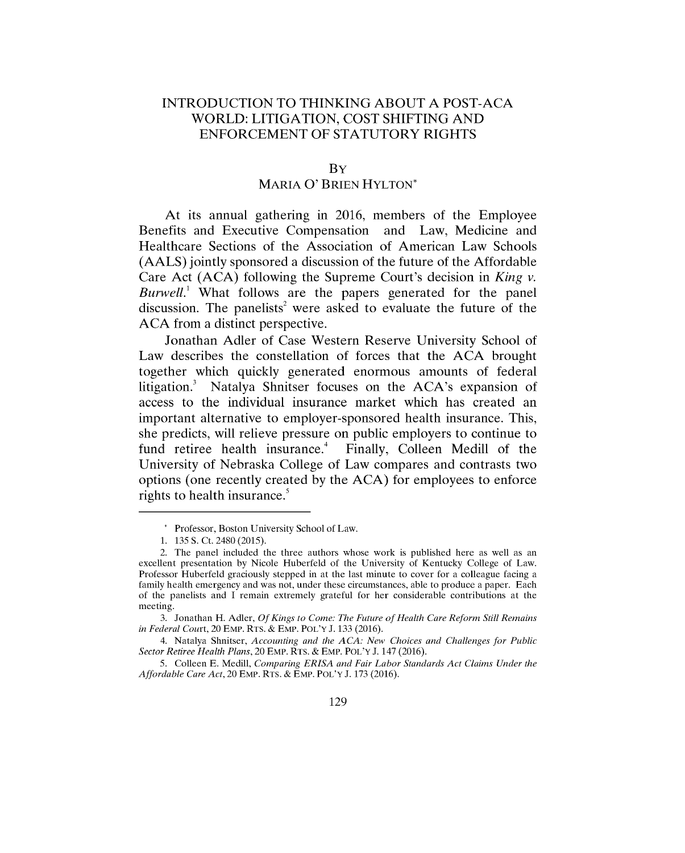#### **INTRODUCTION** TO **THINKING ABOUT A POST-ACA** WORLD: **LITIGATION, COST SHIFTING AND ENFORCEMENT** OF STATUTORY RIGHTS

BY

#### MARIA O' BRIEN HYLTON\*

At its annual gathering in **2016,** members of the Employee Benefits and Executive Compensation and Law, Medicine and Healthcare Sections of the Association of American Law Schools **(AALS)** jointly sponsored a discussion of the future of the Affordable Care Act **(ACA)** following the Supreme Court's decision in *King v. Burwell.'* What follows are the papers generated for the panel discussion. The panelists<sup>2</sup> were asked to evaluate the future of the **ACA** from a distinct perspective.

Jonathan Adler of Case Western Reserve University School of Law describes the constellation of forces that the **ACA** brought together which quickly generated enormous amounts of federal litigation.<sup>3</sup> Natalya Shnitser focuses on the ACA's expansion of access to the individual insurance market which has created an important alternative to employer-sponsored health insurance. This, she predicts, will relieve pressure on public employers to continue to fund retiree health insurance.<sup>4</sup> Finally, Colleen Medill of the University of Nebraska College of Law compares and contrasts two options (one recently created **by** the **ACA)** for employees to enforce rights to health insurance.'

4. Natalya Shnitser, *Accounting and the ACA: New Choices and Challenges for Public Sector Retiree Health Plans,* 20 EMP. RTS. **&** EMP. POL'Y **J.** 147 **(2016).**

**5.** Colleen **E.** Medill, *Comparing ERISA and Fair Labor Standards Act Claims Under the Affordable Care Act,* 20 EMP. RTS. **&** EMP. POL'Y **J. 173 (2016).**

<sup>\*</sup> Professor, Boston University School of Law.

**<sup>1. 135</sup> S.** Ct. 2480 *(2015).*

<sup>2.</sup> The panel included the three authors whose work is published here as well as an excellent presentation **by** Nicole Huberfeld of the University of Kentucky College of Law. Professor Huberfeld graciously stepped in at the last minute to cover for a colleague facing a family health emergency and was not, under these circumstances, able to produce a paper. Each of the panelists and **I** remain extremely grateful for her considerable contributions at the meeting.

**<sup>3.</sup>** Jonathan H. Adler, *Of Kings to Come: The Future of Health Care Reform Still Remains in Federal Court,* 20 EMP. RTS. **&** EMP. POL'Y **J. 133 (2016).**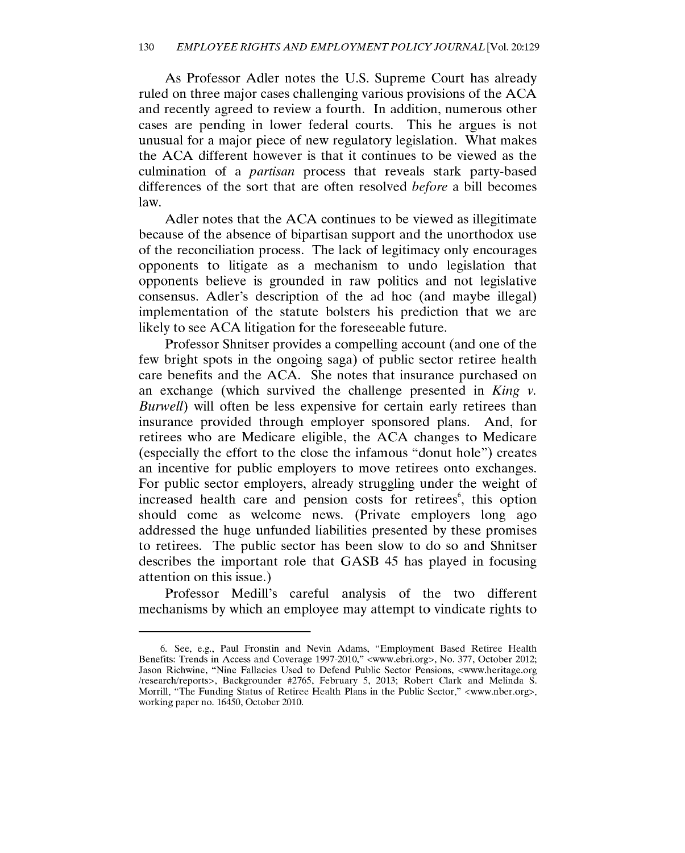As Professor Adler notes the **U.S.** Supreme Court has already ruled on three major cases challenging various provisions of the **ACA** and recently agreed to review a fourth. In addition, numerous other cases are pending in lower federal courts. This he argues is not unusual for a major piece of new regulatory legislation. What makes the **ACA** different however is that it continues to be viewed as the culmination of a *partisan* process that reveals stark party-based differences of the sort that are often resolved *before* a bill becomes law.

Adler notes that the **ACA** continues to be viewed as illegitimate because of the absence of bipartisan support and the unorthodox use of the reconciliation process. The lack of legitimacy only encourages opponents to litigate as a mechanism to undo legislation that opponents believe is grounded in raw politics and not legislative consensus. Adler's description of the ad hoc (and maybe illegal) implementation of the statute bolsters his prediction that we are likely to see **ACA** litigation for the foreseeable future.

Professor Shnitser provides a compelling account (and one of the few bright spots in the ongoing saga) of public sector retiree health care benefits and the **ACA.** She notes that insurance purchased on an exchange (which survived the challenge presented in *King v. Burwell)* will often be less expensive for certain early retirees than insurance provided through employer sponsored plans. And, for retirees who are Medicare eligible, the **ACA** changes to Medicare (especially the effort to the close the infamous "donut hole") creates an incentive for public employers to move retirees onto exchanges. For public sector employers, already struggling under the weight of increased health care and pension costs for retirees<sup>6</sup>, this option should come as welcome news. (Private employers long ago addressed the huge unfunded liabilities presented **by** these promises to retirees. The public sector has been slow to do so and Shnitser describes the important role that **GASB** *45* has played in focusing attention on this issue.)

Professor Medill's careful analysis of the two different mechanisms **by** which an employee may attempt to vindicate rights to

**<sup>6.</sup>** See, e.g., Paul Fronstin and Nevin Adams, "Employment Based Retiree Health Benefits: Trends in Access and Coverage **1997-2010,"** <www.ebri.org>, No. **377,** October 2012; Jason Richwine, "Nine Fallacies Used to Defend Public Sector Pensions, <www.heritage.org /research/reports>, Backgrounder **#2765,** February **5, 2013;** Robert Clark and Melinda **S.** Morrill, "The Funding Status of Retiree Health Plans in the Public Sector," <www.nber.org>, working paper no. *16450,* October 2010.